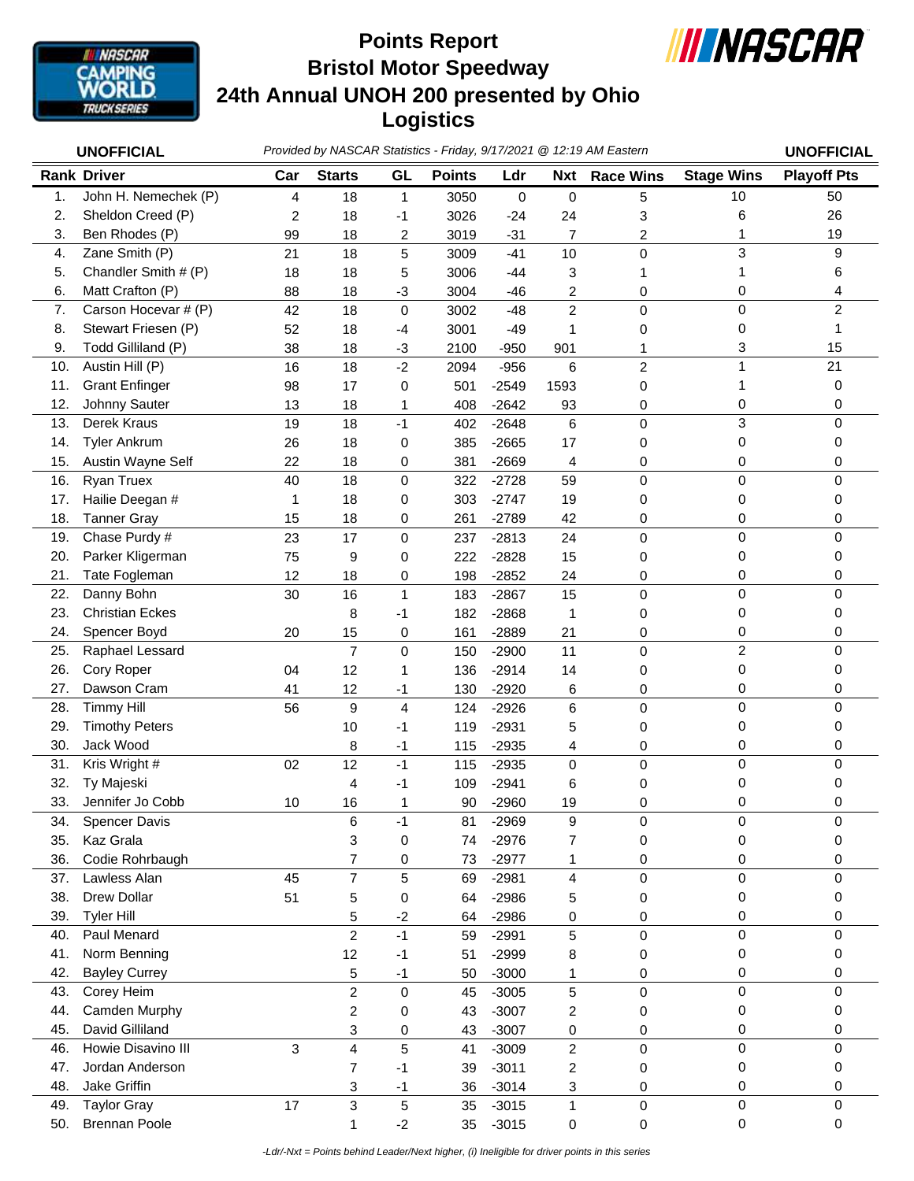

## **Bristol Motor Speedway 24th Annual UNOH 200 presented by Ohio Logistics Points Report**



|     | <b>UNOFFICIAL</b>      |                |                |                  |               |         |                  | Provided by NASCAR Statistics - Friday, 9/17/2021 @ 12:19 AM Eastern |                   | <b>UNOFFICIAL</b>  |
|-----|------------------------|----------------|----------------|------------------|---------------|---------|------------------|----------------------------------------------------------------------|-------------------|--------------------|
|     | <b>Rank Driver</b>     | Car            | <b>Starts</b>  | GL               | <b>Points</b> | Ldr     | <b>Nxt</b>       | <b>Race Wins</b>                                                     | <b>Stage Wins</b> | <b>Playoff Pts</b> |
| 1.  | John H. Nemechek (P)   | 4              | 18             | $\mathbf{1}$     | 3050          | 0       | $\boldsymbol{0}$ | 5                                                                    | 10                | 50                 |
| 2.  | Sheldon Creed (P)      | $\overline{c}$ | 18             | -1               | 3026          | $-24$   | 24               | 3                                                                    | 6                 | 26                 |
| 3.  | Ben Rhodes (P)         | 99             | 18             | 2                | 3019          | $-31$   | $\overline{7}$   | 2                                                                    |                   | 19                 |
| 4.  | Zane Smith (P)         | 21             | 18             | 5                | 3009          | $-41$   | 10               | 0                                                                    | 3                 | 9                  |
| 5.  | Chandler Smith # (P)   | 18             | 18             | 5                | 3006          | $-44$   | 3                | 1                                                                    | 1                 | 6                  |
| 6.  | Matt Crafton (P)       | 88             | 18             | $-3$             | 3004          | $-46$   | 2                | 0                                                                    | 0                 | 4                  |
| 7.  | Carson Hocevar # (P)   | 42             | 18             | 0                | 3002          | $-48$   | $\overline{c}$   | 0                                                                    | $\mathbf 0$       | $\overline{c}$     |
| 8.  | Stewart Friesen (P)    | 52             | 18             | -4               | 3001          | $-49$   | 1                | 0                                                                    | 0                 | 1                  |
| 9.  | Todd Gilliland (P)     | 38             | 18             | $-3$             | 2100          | $-950$  | 901              | 1                                                                    | 3                 | 15                 |
| 10. | Austin Hill (P)        | 16             | 18             | $-2$             | 2094          | $-956$  | 6                | 2                                                                    | 1                 | 21                 |
| 11. | <b>Grant Enfinger</b>  | 98             | 17             | 0                | 501           | $-2549$ | 1593             | 0                                                                    | 1                 | 0                  |
| 12. | Johnny Sauter          | 13             | 18             | 1                | 408           | $-2642$ | 93               | 0                                                                    | 0                 | 0                  |
| 13. | Derek Kraus            | 19             | 18             | $-1$             | 402           | $-2648$ | 6                | 0                                                                    | 3                 | $\mathbf 0$        |
| 14. | <b>Tyler Ankrum</b>    | 26             | 18             | $\mathbf 0$      | 385           | $-2665$ | 17               | 0                                                                    | 0                 | 0                  |
| 15. | Austin Wayne Self      | 22             | 18             | 0                | 381           | $-2669$ | 4                | 0                                                                    | 0                 | 0                  |
| 16. | <b>Ryan Truex</b>      | 40             | 18             | 0                | 322           | $-2728$ | 59               | 0                                                                    | $\pmb{0}$         | $\mathbf 0$        |
| 17. | Hailie Deegan #        | 1              | 18             | 0                | 303           | $-2747$ | 19               | 0                                                                    | 0                 | 0                  |
| 18. | <b>Tanner Gray</b>     | 15             | 18             | 0                | 261           | $-2789$ | 42               | 0                                                                    | 0                 | 0                  |
| 19. | Chase Purdy #          | 23             | 17             | $\mathbf 0$      | 237           | $-2813$ | 24               | 0                                                                    | $\mathbf 0$       | $\Omega$           |
| 20. | Parker Kligerman       | 75             | 9              | 0                | 222           | $-2828$ | 15               | 0                                                                    | 0                 | 0                  |
| 21. | Tate Fogleman          | 12             | 18             | 0                | 198           | $-2852$ | 24               | 0                                                                    | 0                 | 0                  |
| 22. | Danny Bohn             | 30             | 16             | $\mathbf{1}$     | 183           | $-2867$ | 15               | 0                                                                    | $\pmb{0}$         | $\mathbf 0$        |
| 23. | <b>Christian Eckes</b> |                | 8              | -1               | 182           | $-2868$ | 1                | 0                                                                    | 0                 | 0                  |
| 24. | Spencer Boyd           | 20             | 15             | 0                | 161           | $-2889$ | 21               | 0                                                                    | 0                 | 0                  |
| 25. | Raphael Lessard        |                | $\overline{7}$ | $\mathbf 0$      | 150           | $-2900$ | 11               | 0                                                                    | $\overline{c}$    | 0                  |
| 26. | Cory Roper             | 04             | 12             | 1                | 136           | $-2914$ | 14               | 0                                                                    | 0                 | 0                  |
| 27. | Dawson Cram            | 41             | 12             | -1               | 130           | $-2920$ | 6                | 0                                                                    | 0                 | 0                  |
| 28. | <b>Timmy Hill</b>      | 56             | 9              | $\overline{4}$   | 124           | $-2926$ | 6                | 0                                                                    | $\mathbf 0$       | $\Omega$           |
| 29. | <b>Timothy Peters</b>  |                | 10             | $-1$             | 119           | $-2931$ | 5                | 0                                                                    | 0                 | 0                  |
| 30. | Jack Wood              |                | 8              | $-1$             | 115           | $-2935$ | 4                | 0                                                                    | 0                 | 0                  |
| 31. | Kris Wright #          | 02             | 12             | $-1$             | 115           | $-2935$ | 0                | 0                                                                    | $\pmb{0}$         | $\mathbf 0$        |
| 32. | Ty Majeski             |                | 4              | $-1$             | 109           | $-2941$ | 6                | 0                                                                    | 0                 | 0                  |
| 33. | Jennifer Jo Cobb       | 10             | 16             |                  | 90            | $-2960$ | 19               | 0                                                                    | 0                 | 0                  |
| 34. | <b>Spencer Davis</b>   |                | 6              | $-1$             | 81            | $-2969$ | 9                | $\mathsf 0$                                                          | $\pmb{0}$         | 0                  |
| 35. | Kaz Grala              |                | 3              | $\boldsymbol{0}$ | 74            | $-2976$ | 7                | 0                                                                    | 0                 | 0                  |
| 36. | Codie Rohrbaugh        |                | 7              | 0                | 73            | $-2977$ | 1                | 0                                                                    | 0                 | 0                  |
| 37. | Lawless Alan           | 45             | $\overline{7}$ | 5                | 69            | $-2981$ | 4                | 0                                                                    | $\pmb{0}$         | 0                  |
| 38. | <b>Drew Dollar</b>     | 51             | 5              | 0                | 64            | $-2986$ | 5                | 0                                                                    | $\pmb{0}$         | 0                  |
| 39. | <b>Tyler Hill</b>      |                | 5              | $-2$             | 64            | $-2986$ | 0                | 0                                                                    | 0                 | 0                  |
| 40. | Paul Menard            |                | $\overline{c}$ | $-1$             | 59            | $-2991$ | 5                | 0                                                                    | $\pmb{0}$         | 0                  |
| 41. | Norm Benning           |                | 12             | $-1$             | 51            | $-2999$ | 8                | 0                                                                    | 0                 | 0                  |
| 42. | <b>Bayley Currey</b>   |                | 5              | $-1$             | 50            | $-3000$ | 1                | 0                                                                    | 0                 | 0                  |
| 43. | Corey Heim             |                | $\overline{c}$ | $\pmb{0}$        | 45            | $-3005$ | 5                | 0                                                                    | $\mathbf 0$       | 0                  |
| 44. | Camden Murphy          |                | 2              | 0                | 43            | $-3007$ | 2                | 0                                                                    | 0                 | 0                  |
| 45. | David Gilliland        |                | 3              | 0                | 43            | $-3007$ | 0                | 0                                                                    | 0                 | 0                  |
| 46. | Howie Disavino III     | 3              | 4              | $\sqrt{5}$       | 41            | $-3009$ | $\overline{c}$   | $\mathbf 0$                                                          | $\pmb{0}$         | $\mathbf 0$        |
| 47. | Jordan Anderson        |                | $\overline{7}$ | $-1$             | 39            | $-3011$ | 2                | 0                                                                    | 0                 | 0                  |
| 48. | Jake Griffin           |                | 3              | $-1$             | 36            | $-3014$ | 3                | 0                                                                    | 0                 | 0                  |
| 49. | <b>Taylor Gray</b>     | 17             | 3              | $\mathbf 5$      | 35            | $-3015$ | 1                | $\mathsf 0$                                                          | $\pmb{0}$         | $\mathbf 0$        |
| 50. | <b>Brennan Poole</b>   |                | 1              | $-2$             | 35            | $-3015$ | 0                | 0                                                                    | 0                 | $\mathbf 0$        |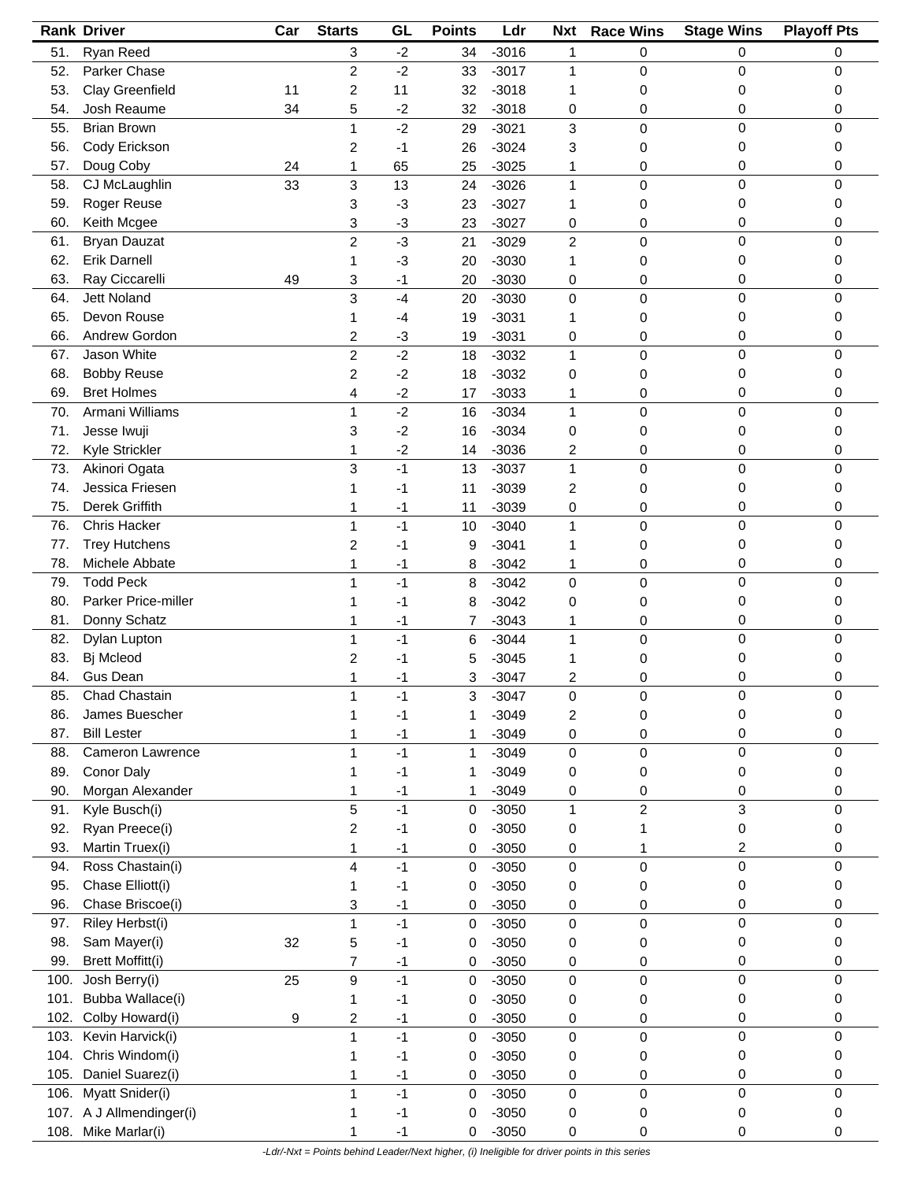|      | <b>Rank Driver</b>       | Car | <b>Starts</b>  | GL   | <b>Points</b> | Ldr     | <b>Nxt</b>     | <b>Race Wins</b> | <b>Stage Wins</b> | <b>Playoff Pts</b> |
|------|--------------------------|-----|----------------|------|---------------|---------|----------------|------------------|-------------------|--------------------|
| 51.  | Ryan Reed                |     | 3              | $-2$ | 34            | $-3016$ | 1              | 0                | 0                 | 0                  |
| 52.  | Parker Chase             |     | $\overline{c}$ | $-2$ | 33            | $-3017$ | 1              | 0                | 0                 | 0                  |
| 53.  | Clay Greenfield          | 11  | 2              | 11   | 32            | $-3018$ | 1              | 0                | 0                 | 0                  |
| 54.  | Josh Reaume              | 34  | 5              | $-2$ | 32            | $-3018$ | 0              | 0                | 0                 | 0                  |
| 55.  | <b>Brian Brown</b>       |     | 1              | $-2$ | 29            | $-3021$ | 3              | 0                | 0                 | 0                  |
| 56.  | Cody Erickson            |     |                | $-1$ | 26            | $-3024$ | 3              | 0                | 0                 | 0                  |
|      |                          |     | 2              |      |               |         |                |                  |                   |                    |
| 57.  | Doug Coby                | 24  | 1              | 65   | 25            | $-3025$ |                | 0                | 0                 | 0                  |
| 58.  | CJ McLaughlin            | 33  | 3              | 13   | 24            | $-3026$ | $\mathbf{1}$   | 0                | 0                 | 0                  |
| 59.  | Roger Reuse              |     | 3              | $-3$ | 23            | $-3027$ | 1              | 0                | 0                 | 0                  |
| 60.  | Keith Mcgee              |     | 3              | $-3$ | 23            | $-3027$ | 0              | 0                | 0                 | 0                  |
| 61.  | <b>Bryan Dauzat</b>      |     | $\overline{c}$ | $-3$ | 21            | $-3029$ | $\overline{c}$ | 0                | 0                 | 0                  |
| 62.  | <b>Erik Darnell</b>      |     | 1              | -3   | 20            | $-3030$ | 1              | 0                | 0                 | 0                  |
| 63.  | Ray Ciccarelli           | 49  | 3              | $-1$ | 20            | $-3030$ | 0              | 0                | 0                 | 0                  |
| 64.  | <b>Jett Noland</b>       |     | 3              | $-4$ | 20            | $-3030$ | $\mathsf 0$    | 0                | 0                 | 0                  |
| 65.  | Devon Rouse              |     | 1              | -4   | 19            | $-3031$ | 1              | 0                | 0                 | 0                  |
| 66.  | Andrew Gordon            |     | 2              | $-3$ | 19            | $-3031$ | 0              | 0                | 0                 | 0                  |
| 67.  | Jason White              |     | $\overline{c}$ | $-2$ | 18            | $-3032$ | $\mathbf{1}$   | 0                | 0                 | 0                  |
| 68.  | <b>Bobby Reuse</b>       |     |                | $-2$ |               | $-3032$ |                |                  |                   |                    |
|      |                          |     | 2              |      | 18            |         | 0              | 0                | 0                 | 0                  |
| 69.  | <b>Bret Holmes</b>       |     | 4              | $-2$ | 17            | $-3033$ | 1              | 0                | 0                 | 0                  |
| 70.  | Armani Williams          |     | 1              | $-2$ | 16            | $-3034$ | $\mathbf{1}$   | 0                | 0                 | 0                  |
| 71.  | Jesse Iwuji              |     | 3              | $-2$ | 16            | $-3034$ | 0              | 0                | 0                 | 0                  |
| 72.  | Kyle Strickler           |     | 1              | $-2$ | 14            | $-3036$ | 2              | 0                | 0                 | 0                  |
| 73.  | Akinori Ogata            |     | 3              | $-1$ | 13            | $-3037$ | $\mathbf{1}$   | 0                | 0                 | 0                  |
| 74.  | Jessica Friesen          |     | 1              | $-1$ | 11            | $-3039$ | 2              | 0                | 0                 | 0                  |
| 75.  | Derek Griffith           |     | 1              | $-1$ | 11            | $-3039$ | 0              | 0                | 0                 | 0                  |
| 76.  | <b>Chris Hacker</b>      |     | 1              | $-1$ | 10            | $-3040$ | $\mathbf{1}$   | 0                | 0                 | 0                  |
| 77.  | <b>Trey Hutchens</b>     |     | 2              | $-1$ | 9             | $-3041$ | 1              | 0                | 0                 | 0                  |
| 78.  | Michele Abbate           |     | 1              | $-1$ | 8             | $-3042$ | 1              | 0                | 0                 | 0                  |
| 79.  | <b>Todd Peck</b>         |     | 1              | $-1$ | 8             | $-3042$ | 0              | 0                | 0                 | 0                  |
| 80.  | Parker Price-miller      |     |                |      |               | $-3042$ |                |                  |                   | 0                  |
|      |                          |     |                | -1   | 8             |         | 0              | 0                | 0                 |                    |
| 81.  | Donny Schatz             |     | 1              | $-1$ | 7             | $-3043$ | 1              | 0                | 0                 | 0                  |
| 82.  | Dylan Lupton             |     | 1              | $-1$ | 6             | $-3044$ | 1              | 0                | 0                 | 0                  |
| 83.  | Bj Mcleod                |     | 2              | $-1$ | 5             | $-3045$ | 1              | 0                | 0                 | 0                  |
| 84.  | Gus Dean                 |     | 1              | -1   | 3             | $-3047$ | 2              | 0                | 0                 | 0                  |
| 85.  | Chad Chastain            |     | $\overline{A}$ | $-1$ | 3             | $-3047$ | 0              | 0                | 0                 |                    |
| 86.  | James Buescher           |     |                | -1   |               | $-3049$ | 2              | 0                | 0                 | 0                  |
| 87.  | <b>Bill Lester</b>       |     |                | $-1$ | 1             | $-3049$ | 0              | 0                | 0                 | 0                  |
| 88.  | <b>Cameron Lawrence</b>  |     | 1              | $-1$ | 1             | $-3049$ | $\pmb{0}$      | 0                | 0                 | 0                  |
| 89.  | Conor Daly               |     | 1              | $-1$ | 1             | $-3049$ | 0              | 0                | 0                 | 0                  |
| 90.  | Morgan Alexander         |     | 1              | $-1$ | 1             | $-3049$ | 0              | 0                | 0                 | 0                  |
| 91.  | Kyle Busch(i)            |     | 5              | $-1$ | 0             | $-3050$ | $\mathbf{1}$   | $\overline{c}$   | 3                 | 0                  |
| 92.  | Ryan Preece(i)           |     |                | $-1$ |               |         |                |                  |                   |                    |
|      |                          |     | 2              |      | 0             | $-3050$ | 0              | 1                | 0                 | 0                  |
| 93.  | Martin Truex(i)          |     | 1              | $-1$ | 0             | $-3050$ | 0              | 1                | 2                 | 0                  |
| 94.  | Ross Chastain(i)         |     | 4              | $-1$ | 0             | $-3050$ | 0              | 0                | 0                 | 0                  |
| 95.  | Chase Elliott(i)         |     | 1              | $-1$ | 0             | $-3050$ | 0              | 0                | 0                 | 0                  |
| 96.  | Chase Briscoe(i)         |     | 3              | $-1$ | 0             | $-3050$ | 0              | 0                | 0                 | 0                  |
| 97.  | Riley Herbst(i)          |     | 1              | $-1$ | 0             | $-3050$ | 0              | 0                | 0                 | 0                  |
| 98.  | Sam Mayer(i)             | 32  | 5              | -1   | 0             | $-3050$ | 0              | 0                | 0                 | 0                  |
| 99.  | <b>Brett Moffitt(i)</b>  |     | 7              | $-1$ | 0             | $-3050$ | 0              | 0                | 0                 | 0                  |
| 100. | Josh Berry(i)            | 25  | 9              | $-1$ | 0             | $-3050$ | 0              | 0                | 0                 | 0                  |
| 101. | Bubba Wallace(i)         |     | 1              | $-1$ | 0             | $-3050$ | 0              | 0                | 0                 | 0                  |
| 102. | Colby Howard(i)          | 9   | 2              | $-1$ | 0             | $-3050$ | 0              | 0                | 0                 | 0                  |
| 103. | Kevin Harvick(i)         |     | 1              | $-1$ |               | $-3050$ | $\mathsf 0$    | 0                | 0                 | 0                  |
|      |                          |     |                |      | 0             |         |                |                  |                   |                    |
| 104. | Chris Windom(i)          |     | 1              | $-1$ | 0             | $-3050$ | 0              | 0                | 0                 | 0                  |
| 105. | Daniel Suarez(i)         |     | 1              | $-1$ | 0             | $-3050$ | 0              | 0                | 0                 | 0                  |
| 106. | Myatt Snider(i)          |     | 1              | $-1$ | 0             | $-3050$ | 0              | 0                | 0                 | 0                  |
|      | 107. A J Allmendinger(i) |     | 1              | -1   | 0             | $-3050$ | 0              | 0                | 0                 | 0                  |
| 108. | Mike Marlar(i)           |     | 1              | $-1$ | 0             | $-3050$ | 0              | 0                | 0                 | 0                  |